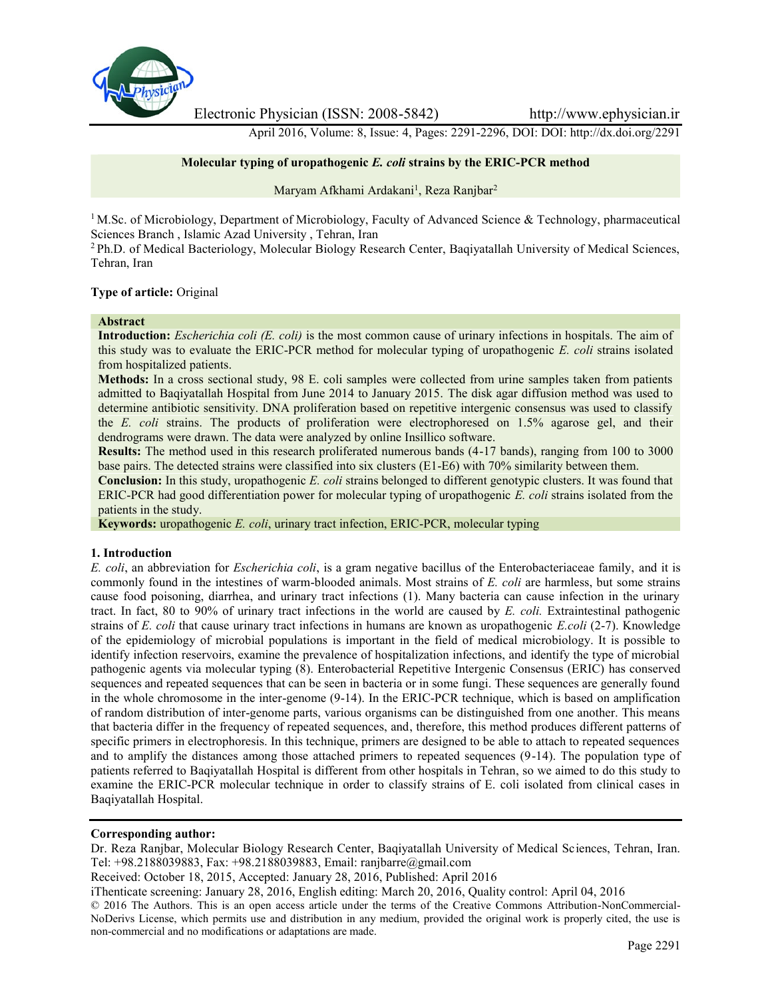

Electronic Physician (ISSN: 2008-5842) http://www.ephysician.ir

April 2016, Volume: 8, Issue: 4, Pages: 2291-2296, DOI: DOI: http://dx.doi.org/2291

# **Molecular typing of uropathogenic** *E. coli* **strains by the ERIC-PCR method**

Maryam Afkhami Ardakani<sup>1</sup>, Reza Ranjbar<sup>2</sup>

<sup>1</sup> M.Sc. of Microbiology, Department of Microbiology, Faculty of Advanced Science & Technology, pharmaceutical Sciences Branch , Islamic Azad University , Tehran, Iran

<sup>2</sup> Ph.D. of Medical Bacteriology, Molecular Biology Research Center, Baqiyatallah University of Medical Sciences, Tehran, Iran

### **Type of article:** Original

#### **Abstract**

**Introduction:** *Escherichia coli (E. coli)* is the most common cause of urinary infections in hospitals. The aim of this study was to evaluate the ERIC-PCR method for molecular typing of uropathogenic *E. coli* strains isolated from hospitalized patients.

**Methods:** In a cross sectional study, 98 E. coli samples were collected from urine samples taken from patients admitted to Baqiyatallah Hospital from June 2014 to January 2015. The disk agar diffusion method was used to determine antibiotic sensitivity. DNA proliferation based on repetitive intergenic consensus was used to classify the *E. coli* strains. The products of proliferation were electrophoresed on 1.5% agarose gel, and their dendrograms were drawn. The data were analyzed by online Insillico software.

**Results:** The method used in this research proliferated numerous bands (4-17 bands), ranging from 100 to 3000 base pairs. The detected strains were classified into six clusters (E1-E6) with 70% similarity between them.

**Conclusion:** In this study, uropathogenic *E. coli* strains belonged to different genotypic clusters. It was found that ERIC-PCR had good differentiation power for molecular typing of uropathogenic *E. coli* strains isolated from the patients in the study.

**Keywords:** uropathogenic *E. coli*, urinary tract infection, ERIC-PCR, molecular typing

#### **1. Introduction**

*E. coli*, an abbreviation for *Escherichia coli*, is a gram negative bacillus of the Enterobacteriaceae family, and it is commonly found in the intestines of warm-blooded animals. Most strains of *E. coli* are harmless, but some strains cause food poisoning, diarrhea, and urinary tract infections (1). Many bacteria can cause infection in the urinary tract. In fact, 80 to 90% of urinary tract infections in the world are caused by *E. coli.* Extraintestinal pathogenic strains of *E. coli* that cause urinary tract infections in humans are known as uropathogenic *E.coli* (2-7). Knowledge of the epidemiology of microbial populations is important in the field of medical microbiology. It is possible to identify infection reservoirs, examine the prevalence of hospitalization infections, and identify the type of microbial pathogenic agents via molecular typing (8). Enterobacterial Repetitive Intergenic Consensus (ERIC) has conserved sequences and repeated sequences that can be seen in bacteria or in some fungi. These sequences are generally found in the whole chromosome in the inter-genome (9-14). In the ERIC-PCR technique, which is based on amplification of random distribution of inter-genome parts, various organisms can be distinguished from one another. This means that bacteria differ in the frequency of repeated sequences, and, therefore, this method produces different patterns of specific primers in electrophoresis. In this technique, primers are designed to be able to attach to repeated sequences and to amplify the distances among those attached primers to repeated sequences (9-14). The population type of patients referred to Baqiyatallah Hospital is different from other hospitals in Tehran, so we aimed to do this study to examine the ERIC-PCR molecular technique in order to classify strains of E. coli isolated from clinical cases in Baqiyatallah Hospital.

#### **Corresponding author:**

Dr. Reza Ranjbar, Molecular Biology Research Center, Baqiyatallah University of Medical Sciences, Tehran, Iran. Tel: +98.2188039883, Fax: +98.2188039883, Email: ranjbarre@gmail.com

Received: October 18, 2015, Accepted: January 28, 2016, Published: April 2016

iThenticate screening: January 28, 2016, English editing: March 20, 2016, Quality control: April 04, 2016

© 2016 The Authors. This is an open access article under the terms of the Creative Commons Attribution-NonCommercial- NoDerivs License, which permits use and distribution in any medium, provided the original work is properly cited, the use is non-commercial and no modifications or adaptations are made.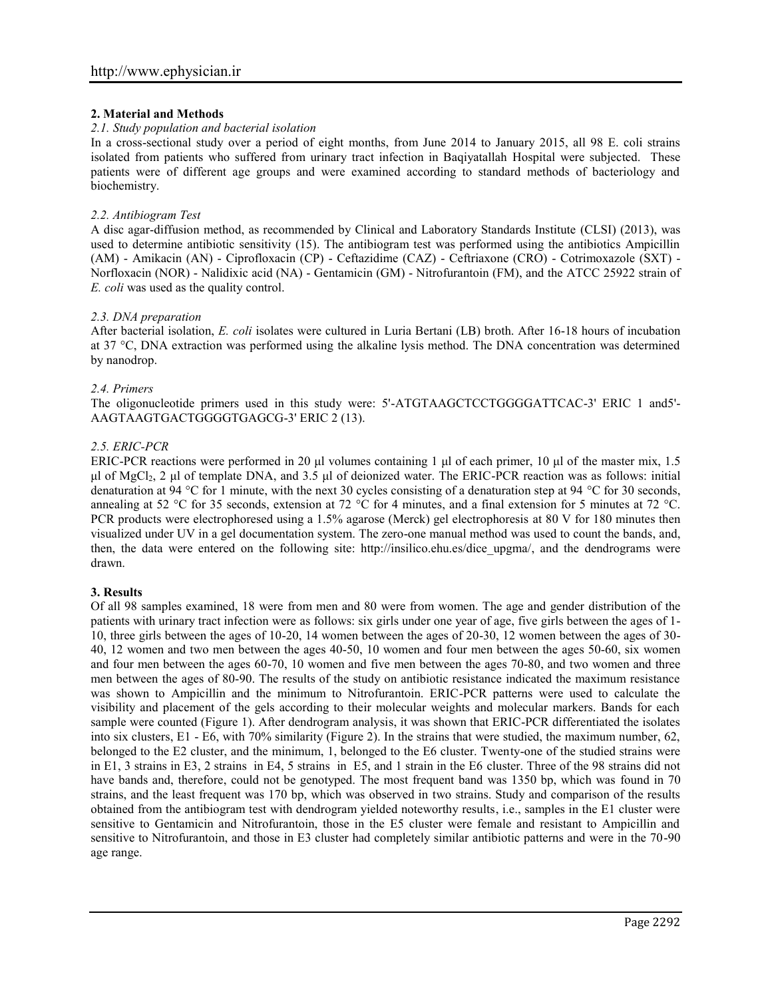# **2. Material and Methods**

### *2.1. Study population and bacterial isolation*

In a cross-sectional study over a period of eight months, from June 2014 to January 2015, all 98 E. coli strains isolated from patients who suffered from urinary tract infection in Baqiyatallah Hospital were subjected. These patients were of different age groups and were examined according to standard methods of bacteriology and biochemistry.

### *2.2. Antibiogram Test*

A disc agar-diffusion method, as recommended by Clinical and Laboratory Standards Institute (CLSI) (2013), was used to determine antibiotic sensitivity (15). The antibiogram test was performed using the antibiotics Ampicillin (AM) - Amikacin (AN) - Ciprofloxacin (CP) - Ceftazidime (CAZ) - Ceftriaxone (CRO) - Cotrimoxazole (SXT) - Norfloxacin (NOR) - Nalidixic acid (NA) - Gentamicin (GM) - Nitrofurantoin (FM), and the ATCC 25922 strain of *E. coli* was used as the quality control.

### *2.3. DNA preparation*

After bacterial isolation, *E. coli* isolates were cultured in Luria Bertani (LB) broth. After 16-18 hours of incubation at 37 °C, DNA extraction was performed using the alkaline lysis method. The DNA concentration was determined by nanodrop.

### *2.4. Primers*

The oligonucleotide primers used in this study were: 5'-ATGTAAGCTCCTGGGGATTCAC-3' ERIC 1 and5'- AAGTAAGTGACTGGGGTGAGCG-3' ERIC 2 (13).

# *2.5. ERIC-PCR*

ERIC-PCR reactions were performed in 20 μl volumes containing 1 μl of each primer, 10 μl of the master mix, 1.5 μl of MgCl2, 2 μl of template DNA, and 3.5 μl of deionized water. The ERIC-PCR reaction was as follows: initial denaturation at 94 °C for 1 minute, with the next 30 cycles consisting of a denaturation step at 94 °C for 30 seconds, annealing at 52 °C for 35 seconds, extension at 72 °C for 4 minutes, and a final extension for 5 minutes at 72 °C. PCR products were electrophoresed using a 1.5% agarose (Merck) gel electrophoresis at 80 V for 180 minutes then visualized under UV in a gel documentation system. The zero-one manual method was used to count the bands, and, then, the data were entered on the following site: http://insilico.ehu.es/dice\_upgma/, and the dendrograms were drawn.

# **3. Results**

Of all 98 samples examined, 18 were from men and 80 were from women. The age and gender distribution of the patients with urinary tract infection were as follows: six girls under one year of age, five girls between the ages of 1- 10, three girls between the ages of 10-20, 14 women between the ages of 20-30, 12 women between the ages of 30- 40, 12 women and two men between the ages 40-50, 10 women and four men between the ages 50-60, six women and four men between the ages 60-70, 10 women and five men between the ages 70-80, and two women and three men between the ages of 80-90. The results of the study on antibiotic resistance indicated the maximum resistance was shown to Ampicillin and the minimum to Nitrofurantoin. ERIC-PCR patterns were used to calculate the visibility and placement of the gels according to their molecular weights and molecular markers. Bands for each sample were counted (Figure 1). After dendrogram analysis, it was shown that ERIC-PCR differentiated the isolates into six clusters, E1 - E6, with 70% similarity (Figure 2). In the strains that were studied, the maximum number, 62, belonged to the E2 cluster, and the minimum, 1, belonged to the E6 cluster. Twenty-one of the studied strains were in E1, 3 strains in E3, 2 strains in E4, 5 strains in E5, and 1 strain in the E6 cluster. Three of the 98 strains did not have bands and, therefore, could not be genotyped. The most frequent band was 1350 bp, which was found in 70 strains, and the least frequent was 170 bp, which was observed in two strains. Study and comparison of the results obtained from the antibiogram test with dendrogram yielded noteworthy results, i.e., samples in the E1 cluster were sensitive to Gentamicin and Nitrofurantoin, those in the E5 cluster were female and resistant to Ampicillin and sensitive to Nitrofurantoin, and those in E3 cluster had completely similar antibiotic patterns and were in the 70-90 age range.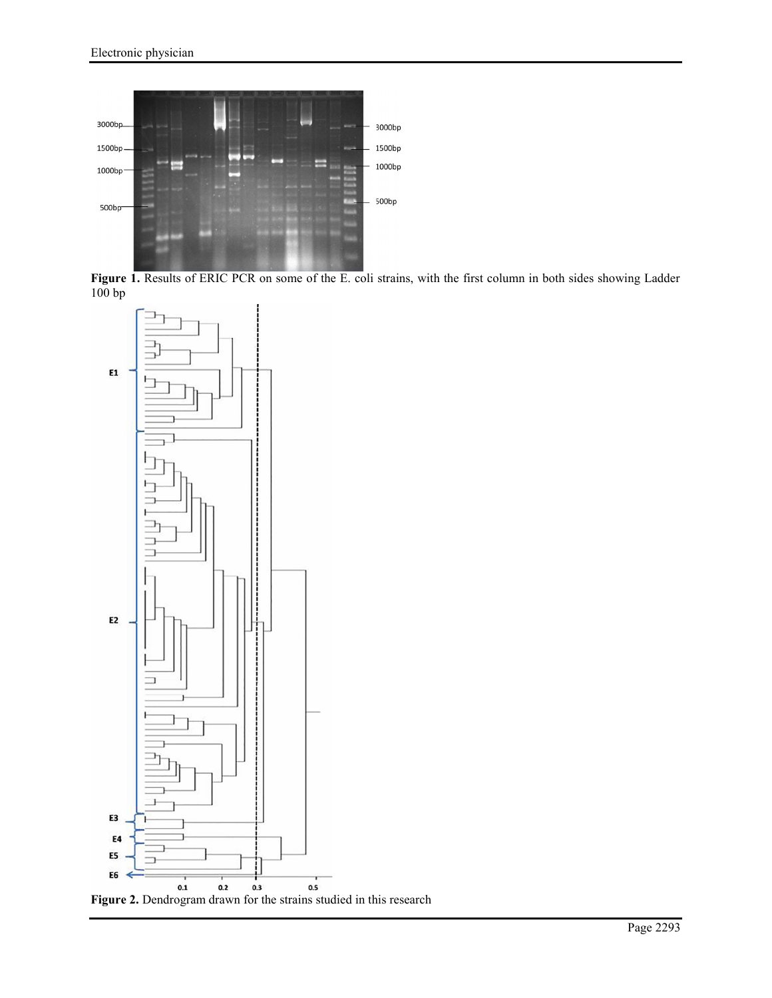

**Figure 1.** Results of ERIC PCR on some of the E. coli strains, with the first column in both sides showing Ladder  $100 bp$ 



**Figure 2.** Dendrogram drawn for the strains studied in this research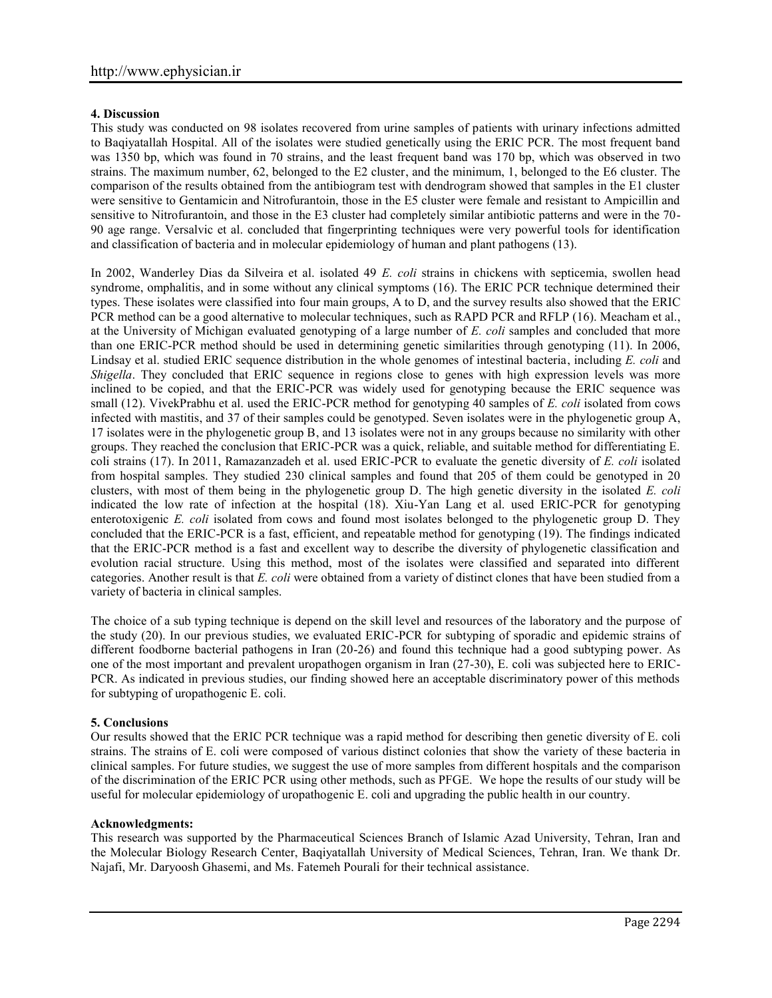# **4. Discussion**

This study was conducted on 98 isolates recovered from urine samples of patients with urinary infections admitted to Baqiyatallah Hospital. All of the isolates were studied genetically using the ERIC PCR. The most frequent band was 1350 bp, which was found in 70 strains, and the least frequent band was 170 bp, which was observed in two strains. The maximum number, 62, belonged to the E2 cluster, and the minimum, 1, belonged to the E6 cluster. The comparison of the results obtained from the antibiogram test with dendrogram showed that samples in the E1 cluster were sensitive to Gentamicin and Nitrofurantoin, those in the E5 cluster were female and resistant to Ampicillin and sensitive to Nitrofurantoin, and those in the E3 cluster had completely similar antibiotic patterns and were in the 70- 90 age range. Versalvic et al. concluded that fingerprinting techniques were very powerful tools for identification and classification of bacteria and in molecular epidemiology of human and plant pathogens (13).

In 2002, Wanderley Dias da Silveira et al. isolated 49 *E. coli* strains in chickens with septicemia, swollen head syndrome, omphalitis, and in some without any clinical symptoms (16). The ERIC PCR technique determined their types. These isolates were classified into four main groups, A to D, and the survey results also showed that the ERIC PCR method can be a good alternative to molecular techniques, such as RAPD PCR and RFLP (16). Meacham et al., at the University of Michigan evaluated genotyping of a large number of *E. coli* samples and concluded that more than one ERIC-PCR method should be used in determining genetic similarities through genotyping (11). In 2006, Lindsay et al. studied ERIC sequence distribution in the whole genomes of intestinal bacteria, including *E. coli* and *Shigella*. They concluded that ERIC sequence in regions close to genes with high expression levels was more inclined to be copied, and that the ERIC-PCR was widely used for genotyping because the ERIC sequence was small (12). VivekPrabhu et al. used the ERIC-PCR method for genotyping 40 samples of *E. coli* isolated from cows infected with mastitis, and 37 of their samples could be genotyped. Seven isolates were in the phylogenetic group A, 17 isolates were in the phylogenetic group B, and 13 isolates were not in any groups because no similarity with other groups. They reached the conclusion that ERIC-PCR was a quick, reliable, and suitable method for differentiating E. coli strains (17). In 2011, Ramazanzadeh et al. used ERIC-PCR to evaluate the genetic diversity of *E. coli* isolated from hospital samples. They studied 230 clinical samples and found that 205 of them could be genotyped in 20 clusters, with most of them being in the phylogenetic group D. The high genetic diversity in the isolated *E. coli* indicated the low rate of infection at the hospital (18). Xiu-Yan Lang et al. used ERIC-PCR for genotyping enterotoxigenic *E. coli* isolated from cows and found most isolates belonged to the phylogenetic group D. They concluded that the ERIC-PCR is a fast, efficient, and repeatable method for genotyping (19). The findings indicated that the ERIC-PCR method is a fast and excellent way to describe the diversity of phylogenetic classification and evolution racial structure. Using this method, most of the isolates were classified and separated into different categories. Another result is that *E. coli* were obtained from a variety of distinct clones that have been studied from a variety of bacteria in clinical samples.

The choice of a sub typing technique is depend on the skill level and resources of the laboratory and the purpose of the study (20). In our previous studies, we evaluated ERIC-PCR for subtyping of sporadic and epidemic strains of different foodborne bacterial pathogens in Iran (20-26) and found this technique had a good subtyping power. As one of the most important and prevalent uropathogen organism in Iran (27-30), E. coli was subjected here to ERIC- PCR. As indicated in previous studies, our finding showed here an acceptable discriminatory power of this methods for subtyping of uropathogenic E. coli.

# **5. Conclusions**

Our results showed that the ERIC PCR technique was a rapid method for describing then genetic diversity of E. coli strains. The strains of E. coli were composed of various distinct colonies that show the variety of these bacteria in clinical samples. For future studies, we suggest the use of more samples from different hospitals and the comparison of the discrimination of the ERIC PCR using other methods, such as PFGE. We hope the results of our study will be useful for molecular epidemiology of uropathogenic E. coli and upgrading the public health in our country.

# **Acknowledgments:**

This research was supported by the Pharmaceutical Sciences Branch of Islamic Azad University, Tehran, Iran and the Molecular Biology Research Center, Baqiyatallah University of Medical Sciences, Tehran, Iran. We thank Dr. Najafi, Mr. Daryoosh Ghasemi, and Ms. Fatemeh Pourali for their technical assistance.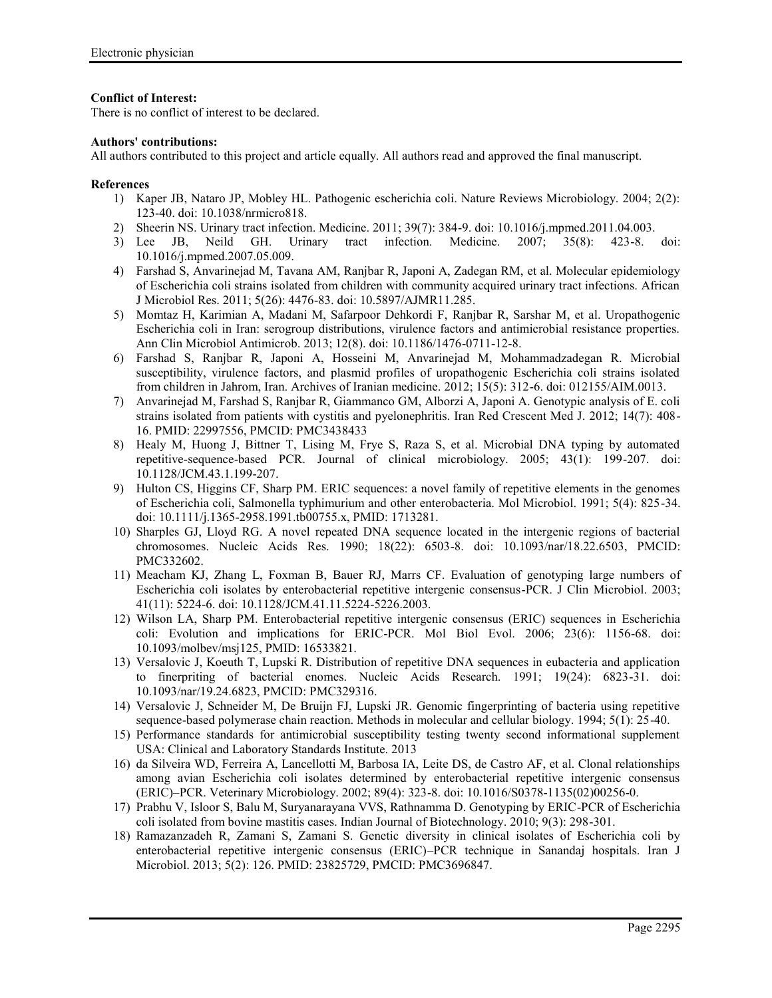# **Conflict of Interest:**

There is no conflict of interest to be declared.

### **Authors' contributions:**

All authors contributed to this project and article equally. All authors read and approved the final manuscript.

### **References**

- 1) Kaper JB, Nataro JP, Mobley HL. Pathogenic escherichia coli. Nature Reviews Microbiology. 2004; 2(2): 123-40. doi: 10.1038/nrmicro818.
- 2) Sheerin NS. Urinary tract infection. Medicine. 2011; 39(7): 384-9. doi: 10.1016/j.mpmed.2011.04.003.
- 3) Lee JB, Neild GH. Urinary tract infection. Medicine. 2007; 35(8): 423-8. doi: 10.1016/j.mpmed.2007.05.009.
- 4) Farshad S, Anvarinejad M, Tavana AM, Ranjbar R, Japoni A, Zadegan RM, et al. Molecular epidemiology of Escherichia coli strains isolated from children with community acquired urinary tract infections. African J Microbiol Res. 2011; 5(26): 4476-83. doi: 10.5897/AJMR11.285.
- 5) Momtaz H, Karimian A, Madani M, Safarpoor Dehkordi F, Ranjbar R, Sarshar M, et al. Uropathogenic Escherichia coli in Iran: serogroup distributions, virulence factors and antimicrobial resistance properties. Ann Clin Microbiol Antimicrob. 2013; 12(8). doi: 10.1186/1476-0711-12-8.
- 6) Farshad S, Ranjbar R, Japoni A, Hosseini M, Anvarinejad M, Mohammadzadegan R. Microbial susceptibility, virulence factors, and plasmid profiles of uropathogenic Escherichia coli strains isolated from children in Jahrom, Iran. Archives of Iranian medicine. 2012; 15(5): 312-6. doi: 012155/AIM.0013.
- 7) Anvarinejad M, Farshad S, Ranjbar R, Giammanco GM, Alborzi A, Japoni A. Genotypic analysis of E. coli strains isolated from patients with cystitis and pyelonephritis. Iran Red Crescent Med J. 2012; 14(7): 408- 16. PMID: 22997556, PMCID: PMC3438433
- 8) Healy M, Huong J, Bittner T, Lising M, Frye S, Raza S, et al. Microbial DNA typing by automated repetitive-sequence-based PCR. Journal of clinical microbiology. 2005; 43(1): 199-207. doi: 10.1128/JCM.43.1.199-207.
- 9) Hulton CS, Higgins CF, Sharp PM. ERIC sequences: a novel family of repetitive elements in the genomes of Escherichia coli, Salmonella typhimurium and other enterobacteria. Mol Microbiol. 1991; 5(4): 825-34. doi: 10.1111/j.1365-2958.1991.tb00755.x, PMID: 1713281.
- 10) Sharples GJ, Lloyd RG. A novel repeated DNA sequence located in the intergenic regions of bacterial chromosomes. Nucleic Acids Res. 1990; 18(22): 6503-8. doi: 10.1093/nar/18.22.6503, PMCID: PMC332602.
- 11) Meacham KJ, Zhang L, Foxman B, Bauer RJ, Marrs CF. Evaluation of genotyping large numbers of Escherichia coli isolates by enterobacterial repetitive intergenic consensus-PCR. J Clin Microbiol. 2003; 41(11): 5224-6. doi: 10.1128/JCM.41.11.5224-5226.2003.
- 12) Wilson LA, Sharp PM. Enterobacterial repetitive intergenic consensus (ERIC) sequences in Escherichia coli: Evolution and implications for ERIC-PCR. Mol Biol Evol. 2006; 23(6): 1156-68. doi: 10.1093/molbev/msj125, PMID: 16533821.
- 13) Versalovic J, Koeuth T, Lupski R. Distribution of repetitive DNA sequences in eubacteria and application to finerpriting of bacterial enomes. Nucleic Acids Research. 1991; 19(24): 6823-31. doi: 10.1093/nar/19.24.6823, PMCID: PMC329316.
- 14) Versalovic J, Schneider M, De Bruijn FJ, Lupski JR. Genomic fingerprinting of bacteria using repetitive sequence-based polymerase chain reaction. Methods in molecular and cellular biology. 1994; 5(1): 25-40.
- 15) Performance standards for antimicrobial susceptibility testing twenty second informational supplement USA: Clinical and Laboratory Standards Institute. 2013
- 16) da Silveira WD, Ferreira A, Lancellotti M, Barbosa IA, Leite DS, de Castro AF, et al. Clonal relationships among avian Escherichia coli isolates determined by enterobacterial repetitive intergenic consensus (ERIC)–PCR. Veterinary Microbiology. 2002; 89(4): 323-8. doi: 10.1016/S0378-1135(02)00256-0.
- 17) Prabhu V, Isloor S, Balu M, Suryanarayana VVS, Rathnamma D. Genotyping by ERIC-PCR of Escherichia coli isolated from bovine mastitis cases. Indian Journal of Biotechnology. 2010; 9(3): 298-301.
- 18) Ramazanzadeh R, Zamani S, Zamani S. Genetic diversity in clinical isolates of Escherichia coli by enterobacterial repetitive intergenic consensus (ERIC)–PCR technique in Sanandaj hospitals. Iran J Microbiol. 2013; 5(2): 126. PMID: 23825729, PMCID: PMC3696847.